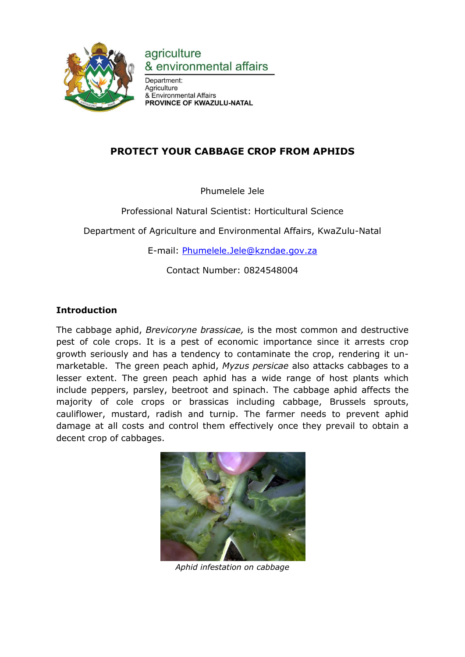

agriculture & environmental affairs

Department: Agriculture & Environmental Affairs PROVINCE OF KWAZULU-NATAL

# **PROTECT YOUR CABBAGE CROP FROM APHIDS**

Phumelele Jele

Professional Natural Scientist: Horticultural Science

Department of Agriculture and Environmental Affairs, KwaZulu-Natal

E-mail: [Phumelele.Jele@kzndae.gov.za](mailto:Phumelele.Jele@kzndae.gov.za)

Contact Number: 0824548004

# **Introduction**

The cabbage aphid, *Brevicoryne brassicae,* is the most common and destructive pest of cole crops. It is a pest of economic importance since it arrests crop growth seriously and has a tendency to contaminate the crop, rendering it unmarketable. The green peach aphid, *Myzus persicae* also attacks cabbages to a lesser extent. The green peach aphid has a wide range of host plants which include peppers, parsley, beetroot and spinach. The cabbage aphid affects the majority of cole crops or brassicas including cabbage, Brussels sprouts, cauliflower, mustard, radish and turnip. The farmer needs to prevent aphid damage at all costs and control them effectively once they prevail to obtain a decent crop of cabbages.



*Aphid infestation on cabbage*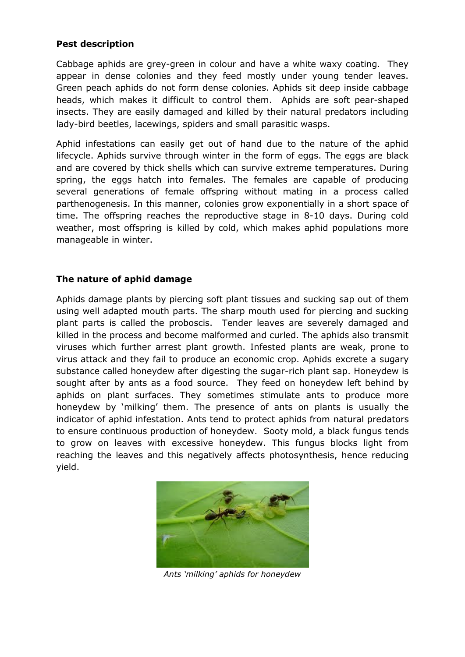#### **Pest description**

Cabbage aphids are grey-green in colour and have a white waxy coating. They appear in dense colonies and they feed mostly under young tender leaves. Green peach aphids do not form dense colonies. Aphids sit deep inside cabbage heads, which makes it difficult to control them. Aphids are soft pear-shaped insects. They are easily damaged and killed by their natural predators including lady-bird beetles, lacewings, spiders and small parasitic wasps.

Aphid infestations can easily get out of hand due to the nature of the aphid lifecycle. Aphids survive through winter in the form of eggs. The eggs are black and are covered by thick shells which can survive extreme temperatures. During spring, the eggs hatch into females. The females are capable of producing several generations of female offspring without mating in a process called parthenogenesis. In this manner, colonies grow exponentially in a short space of time. The offspring reaches the reproductive stage in 8-10 days. During cold weather, most offspring is killed by cold, which makes aphid populations more manageable in winter.

## **The nature of aphid damage**

Aphids damage plants by piercing soft plant tissues and sucking sap out of them using well adapted mouth parts. The sharp mouth used for piercing and sucking plant parts is called the proboscis. Tender leaves are severely damaged and killed in the process and become malformed and curled. The aphids also transmit viruses which further arrest plant growth. Infested plants are weak, prone to virus attack and they fail to produce an economic crop. Aphids excrete a sugary substance called honeydew after digesting the sugar-rich plant sap. Honeydew is sought after by ants as a food source. They feed on honeydew left behind by aphids on plant surfaces. They sometimes stimulate ants to produce more honeydew by 'milking' them. The presence of ants on plants is usually the indicator of aphid infestation. Ants tend to protect aphids from natural predators to ensure continuous production of honeydew. Sooty mold, a black fungus tends to grow on leaves with excessive honeydew. This fungus blocks light from reaching the leaves and this negatively affects photosynthesis, hence reducing yield.



*Ants 'milking' aphids for honeydew*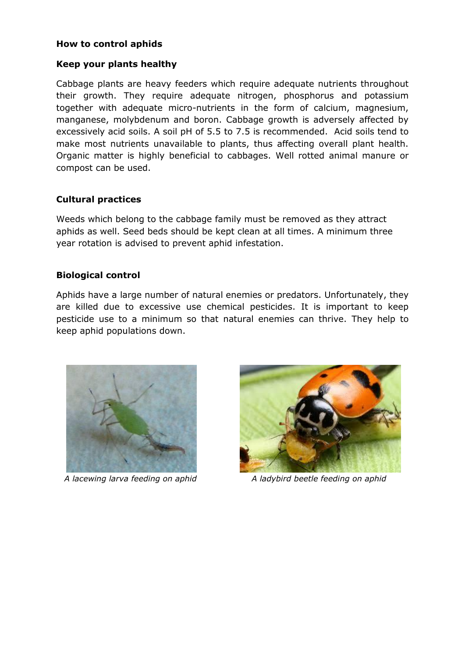#### **How to control aphids**

#### **Keep your plants healthy**

Cabbage plants are heavy feeders which require adequate nutrients throughout their growth. They require adequate nitrogen, phosphorus and potassium together with adequate micro-nutrients in the form of calcium, magnesium, manganese, molybdenum and boron. Cabbage growth is adversely affected by excessively acid soils. A soil pH of 5.5 to 7.5 is recommended. Acid soils tend to make most nutrients unavailable to plants, thus affecting overall plant health. Organic matter is highly beneficial to cabbages. Well rotted animal manure or compost can be used.

#### **Cultural practices**

Weeds which belong to the cabbage family must be removed as they attract aphids as well. Seed beds should be kept clean at all times. A minimum three year rotation is advised to prevent aphid infestation.

#### **Biological control**

Aphids have a large number of natural enemies or predators. Unfortunately, they are killed due to excessive use chemical pesticides. It is important to keep pesticide use to a minimum so that natural enemies can thrive. They help to keep aphid populations down.





 *A lacewing larva feeding on aphid A ladybird beetle feeding on aphid*